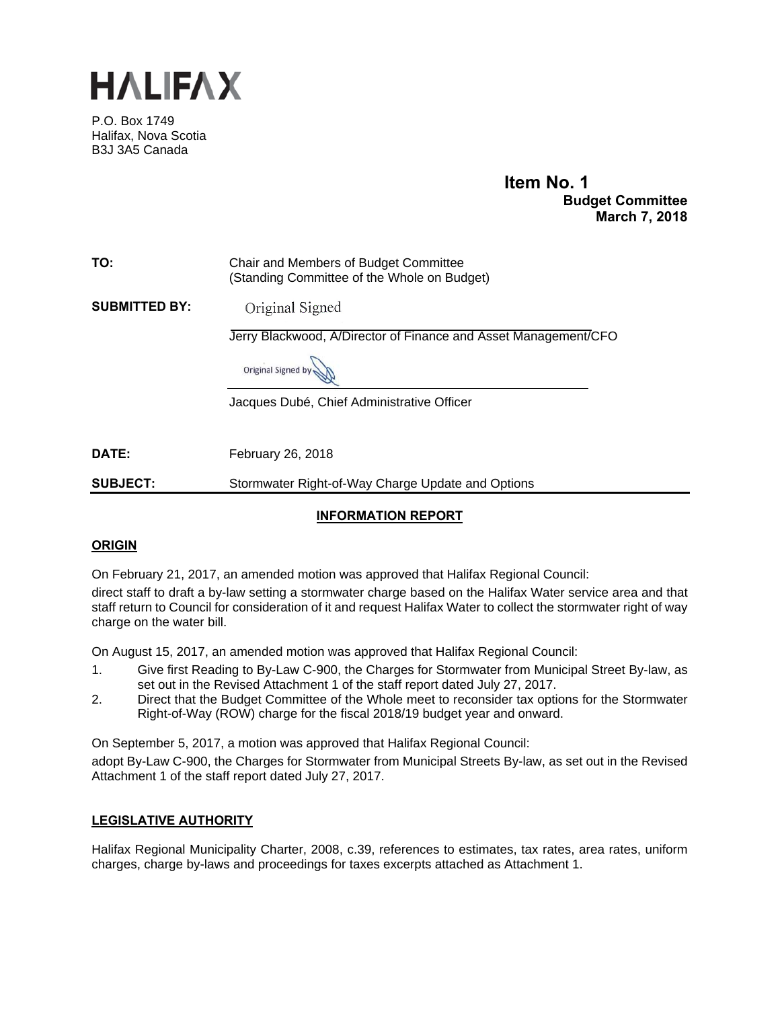

P.O. Box 1749 Halifax, Nova Scotia B3J 3A5 Canada

# **Item No. 1 Budget Committee March 7, 2018**

# **TO:** Chair and Members of Budget Committee (Standing Committee of the Whole on Budget)

**SUBMITTED BY:**  Original Signed

Jerry Blackwood, A/Director of Finance and Asset Management/CFO

Original Signed by

Jacques Dubé, Chief Administrative Officer

**DATE:** February 26, 2018

**SUBJECT:** Stormwater Right-of-Way Charge Update and Options

# **INFORMATION REPORT**

## **ORIGIN**

On February 21, 2017, an amended motion was approved that Halifax Regional Council:

direct staff to draft a by-law setting a stormwater charge based on the Halifax Water service area and that staff return to Council for consideration of it and request Halifax Water to collect the stormwater right of way charge on the water bill.

On August 15, 2017, an amended motion was approved that Halifax Regional Council:

- 1. Give first Reading to By-Law C-900, the Charges for Stormwater from Municipal Street By-law, as set out in the Revised Attachment 1 of the staff report dated July 27, 2017.
- 2. Direct that the Budget Committee of the Whole meet to reconsider tax options for the Stormwater Right-of-Way (ROW) charge for the fiscal 2018/19 budget year and onward.

On September 5, 2017, a motion was approved that Halifax Regional Council:

adopt By-Law C-900, the Charges for Stormwater from Municipal Streets By-law, as set out in the Revised Attachment 1 of the staff report dated July 27, 2017.

## **LEGISLATIVE AUTHORITY**

Halifax Regional Municipality Charter, 2008, c.39, references to estimates, tax rates, area rates, uniform charges, charge by-laws and proceedings for taxes excerpts attached as Attachment 1.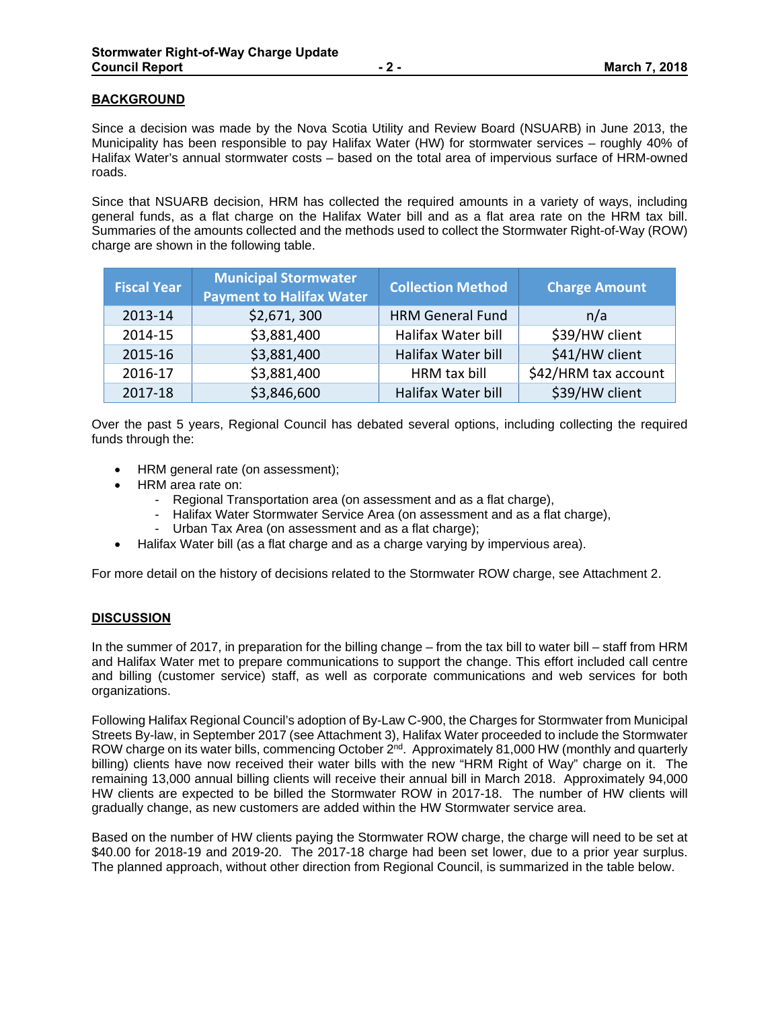## **BACKGROUND**

Since a decision was made by the Nova Scotia Utility and Review Board (NSUARB) in June 2013, the Municipality has been responsible to pay Halifax Water (HW) for stormwater services – roughly 40% of Halifax Water's annual stormwater costs – based on the total area of impervious surface of HRM-owned roads.

Since that NSUARB decision, HRM has collected the required amounts in a variety of ways, including general funds, as a flat charge on the Halifax Water bill and as a flat area rate on the HRM tax bill. Summaries of the amounts collected and the methods used to collect the Stormwater Right-of-Way (ROW) charge are shown in the following table.

| <b>Fiscal Year</b> | <b>Municipal Stormwater</b><br><b>Payment to Halifax Water</b> | <b>Collection Method</b> | <b>Charge Amount</b> |
|--------------------|----------------------------------------------------------------|--------------------------|----------------------|
| 2013-14            | \$2,671,300                                                    | <b>HRM General Fund</b>  | n/a                  |
| 2014-15            | \$3,881,400                                                    | Halifax Water bill       | \$39/HW client       |
| 2015-16            | \$3,881,400                                                    | Halifax Water bill       | \$41/HW client       |
| 2016-17            | \$3,881,400                                                    | HRM tax bill             | \$42/HRM tax account |
| 2017-18            | \$3,846,600                                                    | Halifax Water bill       | \$39/HW client       |

Over the past 5 years, Regional Council has debated several options, including collecting the required funds through the:

- HRM general rate (on assessment);
- HRM area rate on:
	- Regional Transportation area (on assessment and as a flat charge),
	- Halifax Water Stormwater Service Area (on assessment and as a flat charge),
	- Urban Tax Area (on assessment and as a flat charge);
- Halifax Water bill (as a flat charge and as a charge varying by impervious area).

For more detail on the history of decisions related to the Stormwater ROW charge, see Attachment 2.

## **DISCUSSION**

In the summer of 2017, in preparation for the billing change – from the tax bill to water bill – staff from HRM and Halifax Water met to prepare communications to support the change. This effort included call centre and billing (customer service) staff, as well as corporate communications and web services for both organizations.

Following Halifax Regional Council's adoption of By-Law C-900, the Charges for Stormwater from Municipal Streets By-law, in September 2017 (see Attachment 3), Halifax Water proceeded to include the Stormwater ROW charge on its water bills, commencing October  $2<sup>nd</sup>$ . Approximately 81,000 HW (monthly and quarterly billing) clients have now received their water bills with the new "HRM Right of Way" charge on it. The remaining 13,000 annual billing clients will receive their annual bill in March 2018. Approximately 94,000 HW clients are expected to be billed the Stormwater ROW in 2017-18. The number of HW clients will gradually change, as new customers are added within the HW Stormwater service area.

Based on the number of HW clients paying the Stormwater ROW charge, the charge will need to be set at \$40.00 for 2018-19 and 2019-20. The 2017-18 charge had been set lower, due to a prior year surplus. The planned approach, without other direction from Regional Council, is summarized in the table below.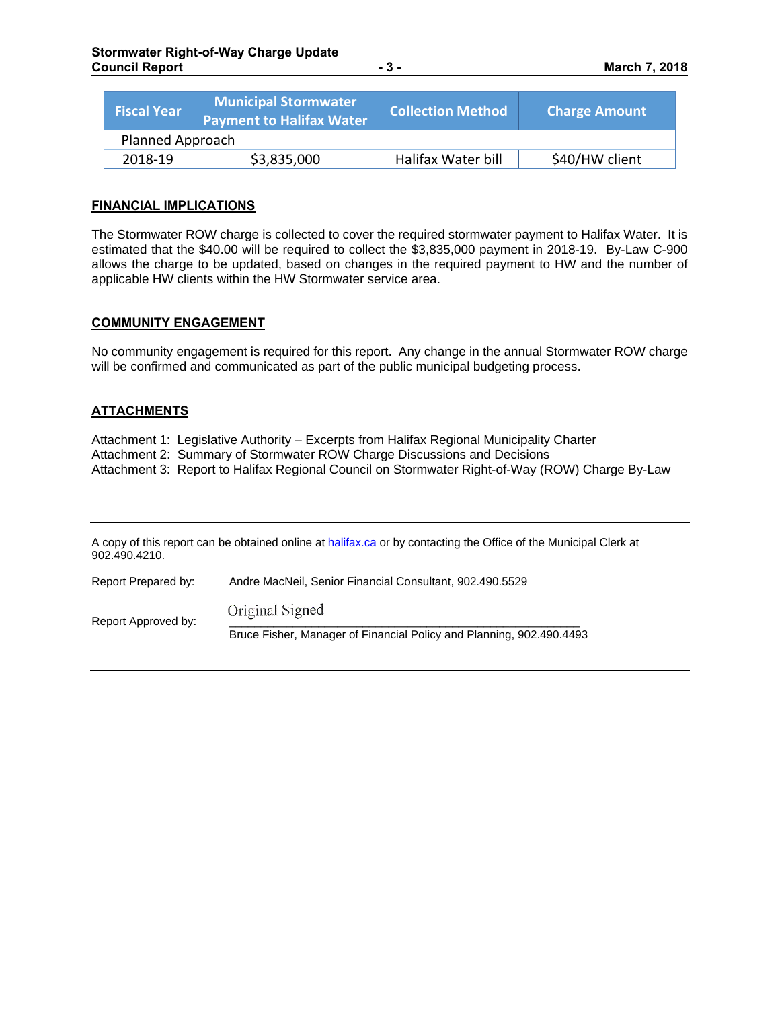| <b>Fiscal Year</b> | <b>Municipal Stormwater</b><br><b>Payment to Halifax Water</b> | <b>Collection Method</b> | <b>Charge Amount</b> |  |
|--------------------|----------------------------------------------------------------|--------------------------|----------------------|--|
| Planned Approach   |                                                                |                          |                      |  |
| 2018-19            | \$3,835,000                                                    | Halifax Water bill       | \$40/HW client       |  |

#### **FINANCIAL IMPLICATIONS**

The Stormwater ROW charge is collected to cover the required stormwater payment to Halifax Water. It is estimated that the \$40.00 will be required to collect the \$3,835,000 payment in 2018-19. By-Law C-900 allows the charge to be updated, based on changes in the required payment to HW and the number of applicable HW clients within the HW Stormwater service area.

#### **COMMUNITY ENGAGEMENT**

No community engagement is required for this report. Any change in the annual Stormwater ROW charge will be confirmed and communicated as part of the public municipal budgeting process.

## **ATTACHMENTS**

Attachment 1: Legislative Authority – Excerpts from Halifax Regional Municipality Charter Attachment 2: Summary of Stormwater ROW Charge Discussions and Decisions Attachment 3: Report to Halifax Regional Council on Stormwater Right-of-Way (ROW) Charge By-Law

A copy of this report can be obtained online at halifax.ca or by contacting the Office of the Municipal Clerk at 902.490.4210. Report Prepared by: Andre MacNeil, Senior Financial Consultant, 902.490.5529 Report Approved by:  $\overline{\phantom{a}}$  Original Signed Bruce Fisher, Manager of Financial Policy and Planning, 902.490.4493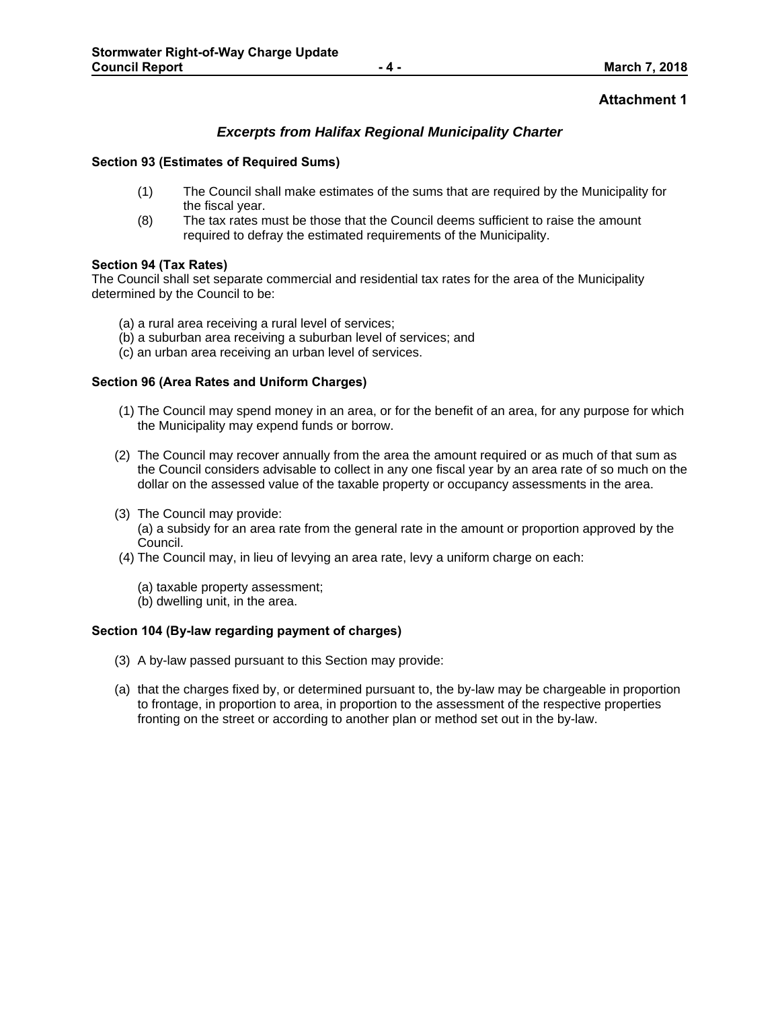## **Attachment 1**

## *Excerpts from Halifax Regional Municipality Charter*

#### **Section 93 (Estimates of Required Sums)**

- (1) The Council shall make estimates of the sums that are required by the Municipality for the fiscal year.
- (8) The tax rates must be those that the Council deems sufficient to raise the amount required to defray the estimated requirements of the Municipality.

#### **Section 94 (Tax Rates)**

The Council shall set separate commercial and residential tax rates for the area of the Municipality determined by the Council to be:

- (a) a rural area receiving a rural level of services;
- (b) a suburban area receiving a suburban level of services; and
- (c) an urban area receiving an urban level of services.

#### **Section 96 (Area Rates and Uniform Charges)**

- (1) The Council may spend money in an area, or for the benefit of an area, for any purpose for which the Municipality may expend funds or borrow.
- (2) The Council may recover annually from the area the amount required or as much of that sum as the Council considers advisable to collect in any one fiscal year by an area rate of so much on the dollar on the assessed value of the taxable property or occupancy assessments in the area.
- (3) The Council may provide:

(a) a subsidy for an area rate from the general rate in the amount or proportion approved by the Council.

- (4) The Council may, in lieu of levying an area rate, levy a uniform charge on each:
	- (a) taxable property assessment;
	- (b) dwelling unit, in the area.

## **Section 104 (By-law regarding payment of charges)**

- (3) A by-law passed pursuant to this Section may provide:
- (a) that the charges fixed by, or determined pursuant to, the by-law may be chargeable in proportion to frontage, in proportion to area, in proportion to the assessment of the respective properties fronting on the street or according to another plan or method set out in the by-law.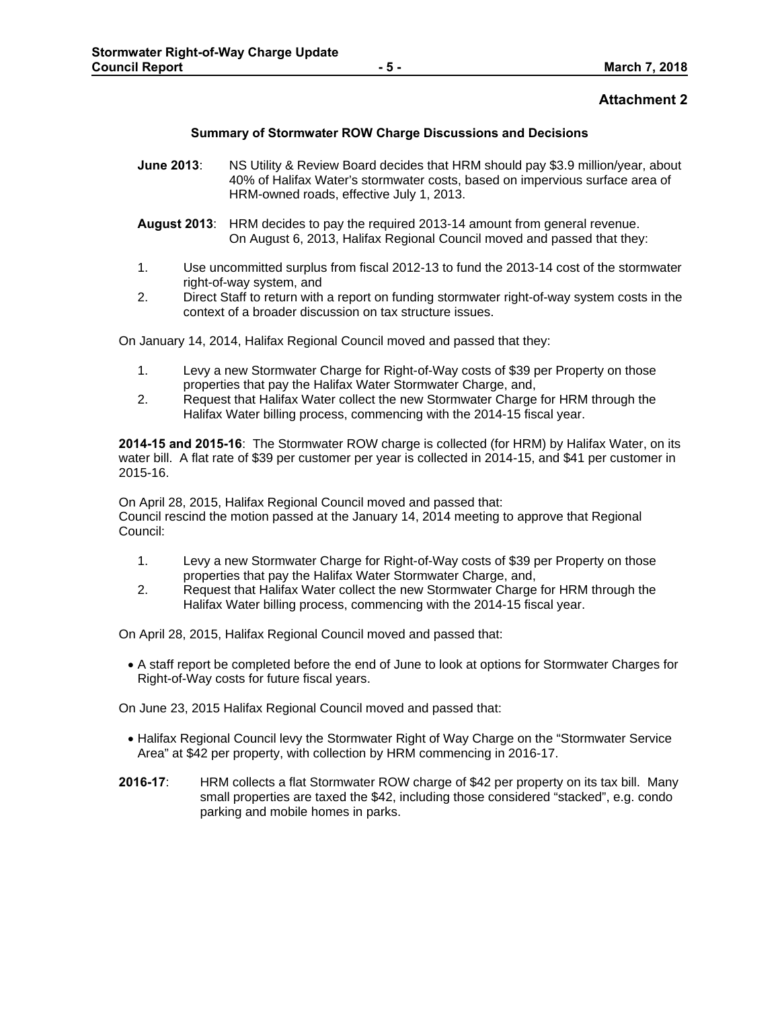## **Attachment 2**

#### **Summary of Stormwater ROW Charge Discussions and Decisions**

- **June 2013**: NS Utility & Review Board decides that HRM should pay \$3.9 million/year, about 40% of Halifax Water's stormwater costs, based on impervious surface area of HRM-owned roads, effective July 1, 2013.
- **August 2013**: HRM decides to pay the required 2013-14 amount from general revenue. On August 6, 2013, Halifax Regional Council moved and passed that they:
- 1. Use uncommitted surplus from fiscal 2012-13 to fund the 2013-14 cost of the stormwater right-of-way system, and
- 2. Direct Staff to return with a report on funding stormwater right-of-way system costs in the context of a broader discussion on tax structure issues.

On January 14, 2014, Halifax Regional Council moved and passed that they:

- 1. Levy a new Stormwater Charge for Right-of-Way costs of \$39 per Property on those properties that pay the Halifax Water Stormwater Charge, and,
- 2. Request that Halifax Water collect the new Stormwater Charge for HRM through the Halifax Water billing process, commencing with the 2014-15 fiscal year.

**2014-15 and 2015-16**: The Stormwater ROW charge is collected (for HRM) by Halifax Water, on its water bill. A flat rate of \$39 per customer per year is collected in 2014-15, and \$41 per customer in 2015-16.

On April 28, 2015, Halifax Regional Council moved and passed that: Council rescind the motion passed at the January 14, 2014 meeting to approve that Regional Council:

- 1. Levy a new Stormwater Charge for Right-of-Way costs of \$39 per Property on those properties that pay the Halifax Water Stormwater Charge, and,
- 2. Request that Halifax Water collect the new Stormwater Charge for HRM through the Halifax Water billing process, commencing with the 2014-15 fiscal year.

On April 28, 2015, Halifax Regional Council moved and passed that:

 A staff report be completed before the end of June to look at options for Stormwater Charges for Right-of-Way costs for future fiscal years.

On June 23, 2015 Halifax Regional Council moved and passed that:

- Halifax Regional Council levy the Stormwater Right of Way Charge on the "Stormwater Service Area" at \$42 per property, with collection by HRM commencing in 2016-17.
- **2016-17**: HRM collects a flat Stormwater ROW charge of \$42 per property on its tax bill. Many small properties are taxed the \$42, including those considered "stacked", e.g. condo parking and mobile homes in parks.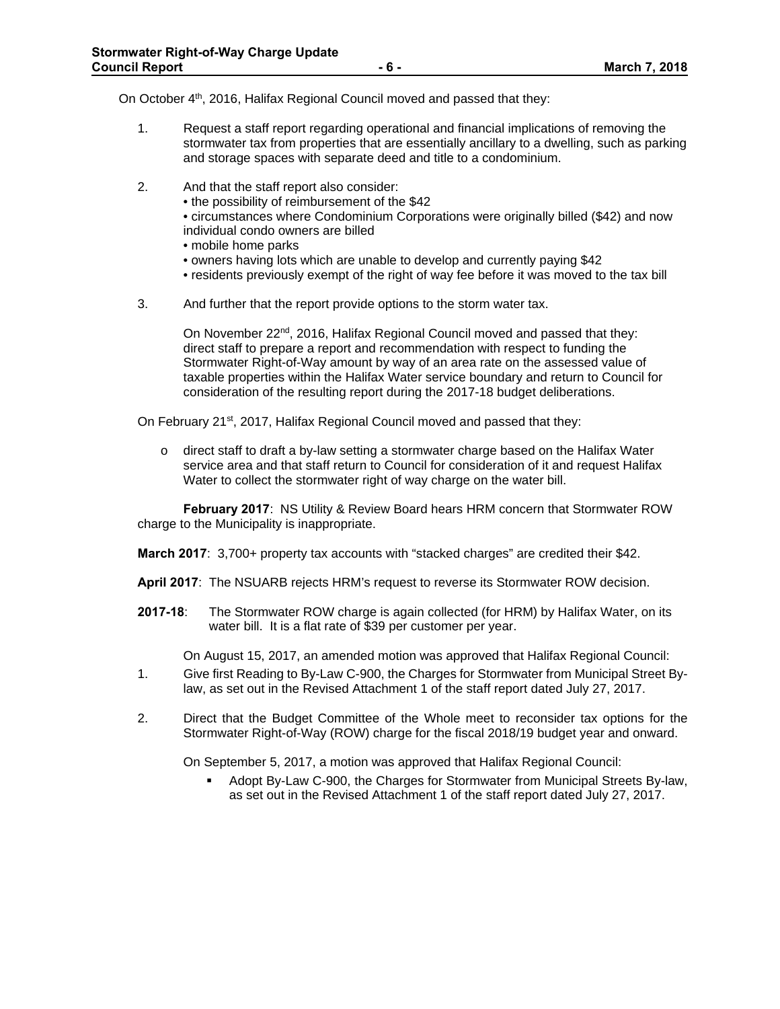On October 4<sup>th</sup>, 2016, Halifax Regional Council moved and passed that they:

- 1. Request a staff report regarding operational and financial implications of removing the stormwater tax from properties that are essentially ancillary to a dwelling, such as parking and storage spaces with separate deed and title to a condominium.
- 2. And that the staff report also consider:
	- the possibility of reimbursement of the \$42
	- circumstances where Condominium Corporations were originally billed (\$42) and now individual condo owners are billed
	- mobile home parks
	- owners having lots which are unable to develop and currently paying \$42
	- residents previously exempt of the right of way fee before it was moved to the tax bill
- 3. And further that the report provide options to the storm water tax.

On November 22<sup>nd</sup>, 2016, Halifax Regional Council moved and passed that they: direct staff to prepare a report and recommendation with respect to funding the Stormwater Right-of-Way amount by way of an area rate on the assessed value of taxable properties within the Halifax Water service boundary and return to Council for consideration of the resulting report during the 2017-18 budget deliberations.

On February 21<sup>st</sup>, 2017, Halifax Regional Council moved and passed that they:

 $\circ$  direct staff to draft a by-law setting a stormwater charge based on the Halifax Water service area and that staff return to Council for consideration of it and request Halifax Water to collect the stormwater right of way charge on the water bill.

**February 2017**: NS Utility & Review Board hears HRM concern that Stormwater ROW charge to the Municipality is inappropriate.

**March 2017**: 3,700+ property tax accounts with "stacked charges" are credited their \$42.

**April 2017**: The NSUARB rejects HRM's request to reverse its Stormwater ROW decision.

**2017-18**: The Stormwater ROW charge is again collected (for HRM) by Halifax Water, on its water bill. It is a flat rate of \$39 per customer per year.

On August 15, 2017, an amended motion was approved that Halifax Regional Council:

- 1. Give first Reading to By-Law C-900, the Charges for Stormwater from Municipal Street Bylaw, as set out in the Revised Attachment 1 of the staff report dated July 27, 2017.
- 2. Direct that the Budget Committee of the Whole meet to reconsider tax options for the Stormwater Right-of-Way (ROW) charge for the fiscal 2018/19 budget year and onward.

On September 5, 2017, a motion was approved that Halifax Regional Council:

 Adopt By-Law C-900, the Charges for Stormwater from Municipal Streets By-law, as set out in the Revised Attachment 1 of the staff report dated July 27, 2017.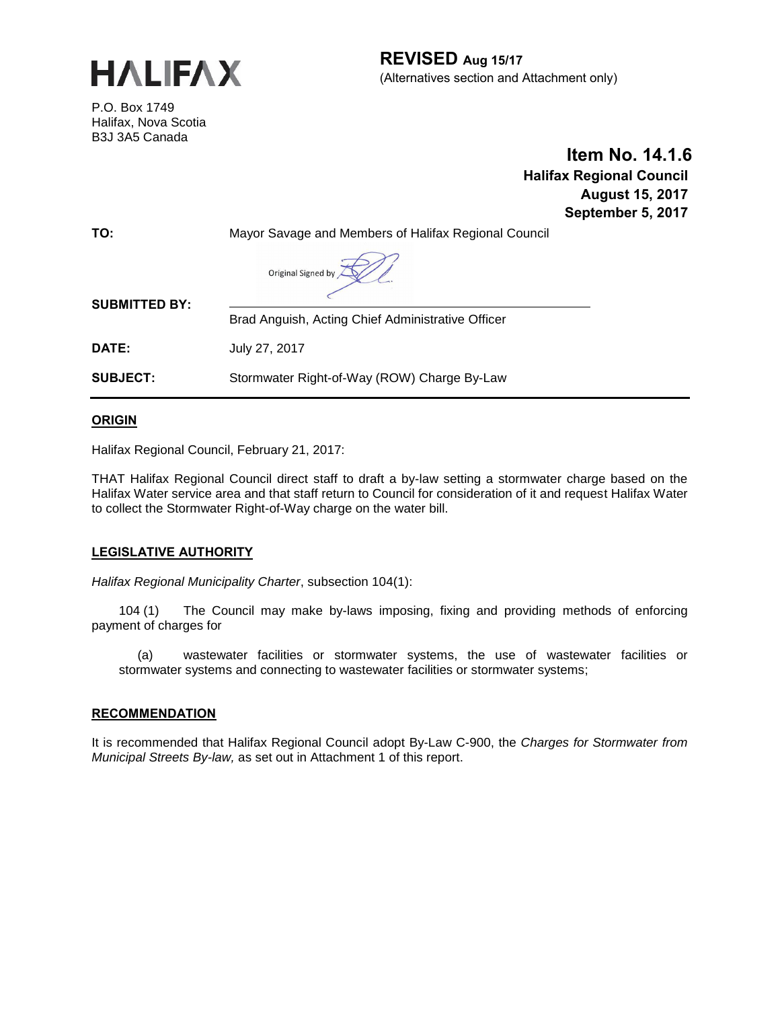

**REVISED Aug 15/17** (Alternatives section and Attachment only)

P.O. Box 1749 Halifax, Nova Scotia B3J 3A5 Canada

 **Item No. 14.1.6 Halifax Regional Council August 15, 2017 September 5, 2017**

| TO:                  | Mayor Savage and Members of Halifax Regional Council |  |  |
|----------------------|------------------------------------------------------|--|--|
|                      | Original Signed by                                   |  |  |
| <b>SUBMITTED BY:</b> | Brad Anguish, Acting Chief Administrative Officer    |  |  |
| <b>DATE:</b>         | July 27, 2017                                        |  |  |
| <b>SUBJECT:</b>      | Stormwater Right-of-Way (ROW) Charge By-Law          |  |  |
|                      |                                                      |  |  |

**ORIGIN**

Halifax Regional Council, February 21, 2017:

THAT Halifax Regional Council direct staff to draft a by-law setting a stormwater charge based on the Halifax Water service area and that staff return to Council for consideration of it and request Halifax Water to collect the Stormwater Right-of-Way charge on the water bill.

## **LEGISLATIVE AUTHORITY**

*Halifax Regional Municipality Charter*, subsection 104(1):

104 (1) The Council may make by-laws imposing, fixing and providing methods of enforcing payment of charges for

(a) wastewater facilities or stormwater systems, the use of wastewater facilities or stormwater systems and connecting to wastewater facilities or stormwater systems;

#### **RECOMMENDATION**

It is recommended that Halifax Regional Council adopt By-Law C-900, the *Charges for Stormwater from Municipal Streets By-law,* as set out in Attachment 1 of this report.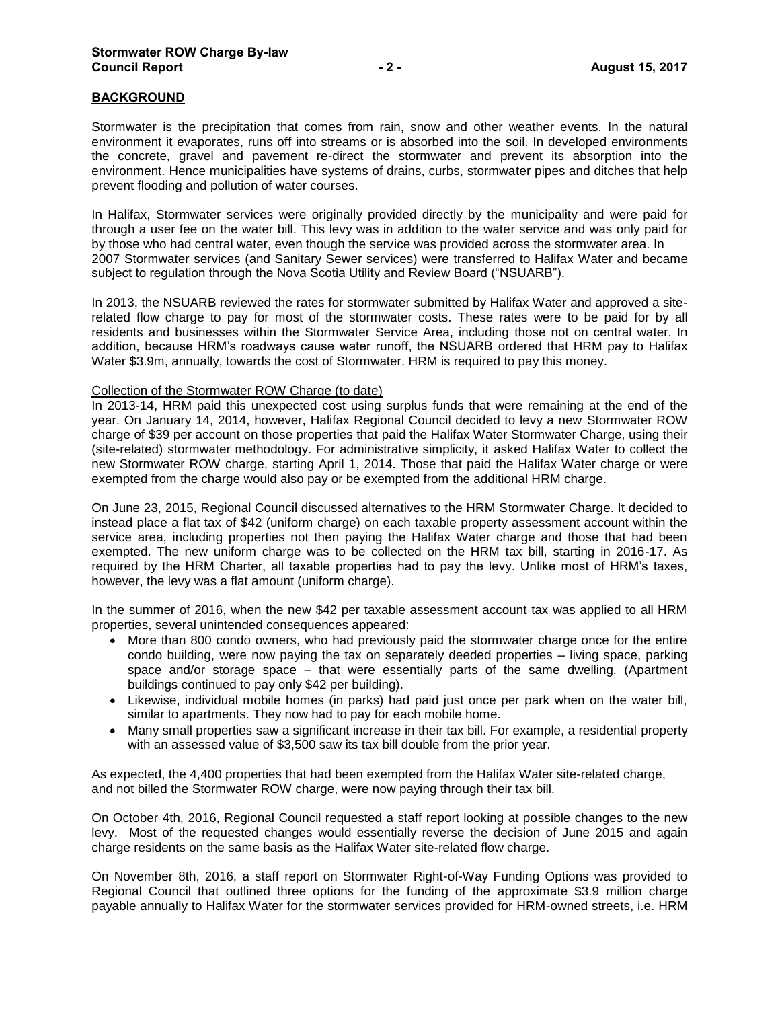#### **BACKGROUND**

Stormwater is the precipitation that comes from rain, snow and other weather events. In the natural environment it evaporates, runs off into streams or is absorbed into the soil. In developed environments the concrete, gravel and pavement re-direct the stormwater and prevent its absorption into the environment. Hence municipalities have systems of drains, curbs, stormwater pipes and ditches that help prevent flooding and pollution of water courses.

In Halifax, Stormwater services were originally provided directly by the municipality and were paid for through a user fee on the water bill. This levy was in addition to the water service and was only paid for by those who had central water, even though the service was provided across the stormwater area. In 2007 Stormwater services (and Sanitary Sewer services) were transferred to Halifax Water and became subject to regulation through the Nova Scotia Utility and Review Board ("NSUARB").

In 2013, the NSUARB reviewed the rates for stormwater submitted by Halifax Water and approved a siterelated flow charge to pay for most of the stormwater costs. These rates were to be paid for by all residents and businesses within the Stormwater Service Area, including those not on central water. In addition, because HRM's roadways cause water runoff, the NSUARB ordered that HRM pay to Halifax Water \$3.9m, annually, towards the cost of Stormwater. HRM is required to pay this money.

#### Collection of the Stormwater ROW Charge (to date)

In 2013-14, HRM paid this unexpected cost using surplus funds that were remaining at the end of the year. On January 14, 2014, however, Halifax Regional Council decided to levy a new Stormwater ROW charge of \$39 per account on those properties that paid the Halifax Water Stormwater Charge, using their (site-related) stormwater methodology. For administrative simplicity, it asked Halifax Water to collect the new Stormwater ROW charge, starting April 1, 2014. Those that paid the Halifax Water charge or were exempted from the charge would also pay or be exempted from the additional HRM charge.

On June 23, 2015, Regional Council discussed alternatives to the HRM Stormwater Charge. It decided to instead place a flat tax of \$42 (uniform charge) on each taxable property assessment account within the service area, including properties not then paying the Halifax Water charge and those that had been exempted. The new uniform charge was to be collected on the HRM tax bill, starting in 2016-17. As required by the HRM Charter, all taxable properties had to pay the levy. Unlike most of HRM's taxes, however, the levy was a flat amount (uniform charge).

In the summer of 2016, when the new \$42 per taxable assessment account tax was applied to all HRM properties, several unintended consequences appeared:

- More than 800 condo owners, who had previously paid the stormwater charge once for the entire condo building, were now paying the tax on separately deeded properties – living space, parking space and/or storage space – that were essentially parts of the same dwelling. (Apartment buildings continued to pay only \$42 per building).
- Likewise, individual mobile homes (in parks) had paid just once per park when on the water bill, similar to apartments. They now had to pay for each mobile home.
- Many small properties saw a significant increase in their tax bill. For example, a residential property with an assessed value of \$3,500 saw its tax bill double from the prior year.

As expected, the 4,400 properties that had been exempted from the Halifax Water site-related charge, and not billed the Stormwater ROW charge, were now paying through their tax bill.

On October 4th, 2016, Regional Council requested a staff report looking at possible changes to the new levy. Most of the requested changes would essentially reverse the decision of June 2015 and again charge residents on the same basis as the Halifax Water site-related flow charge.

On November 8th, 2016, a staff report on Stormwater Right-of-Way Funding Options was provided to Regional Council that outlined three options for the funding of the approximate \$3.9 million charge payable annually to Halifax Water for the stormwater services provided for HRM-owned streets, i.e. HRM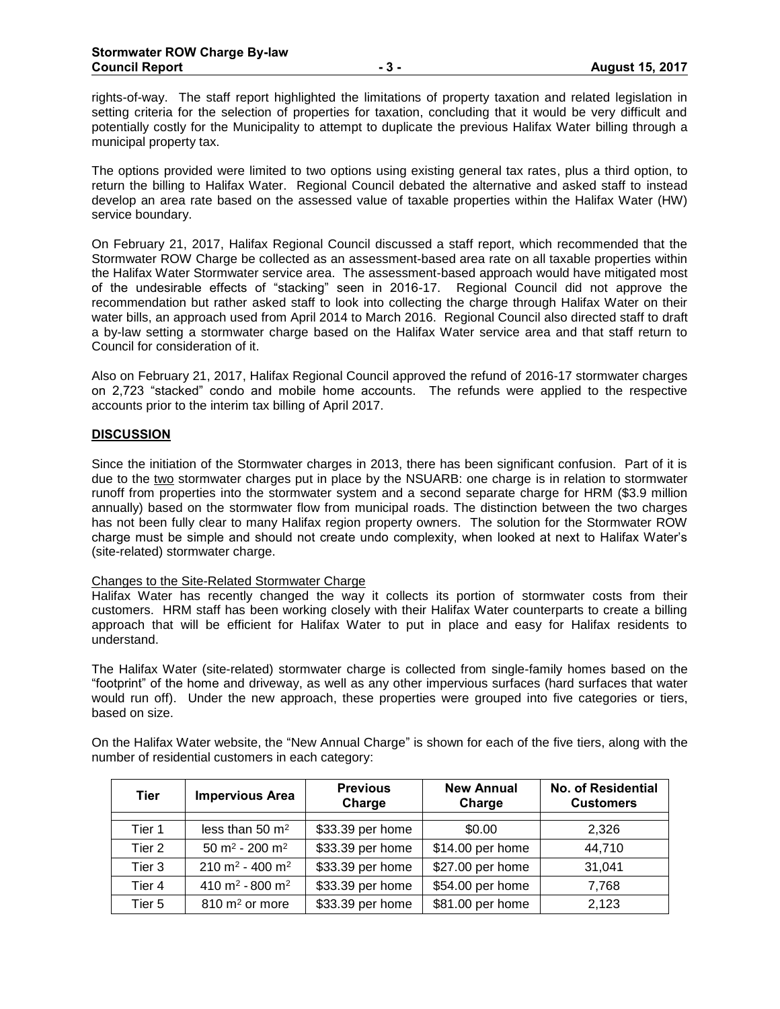rights-of-way. The staff report highlighted the limitations of property taxation and related legislation in setting criteria for the selection of properties for taxation, concluding that it would be very difficult and potentially costly for the Municipality to attempt to duplicate the previous Halifax Water billing through a municipal property tax.

The options provided were limited to two options using existing general tax rates, plus a third option, to return the billing to Halifax Water. Regional Council debated the alternative and asked staff to instead develop an area rate based on the assessed value of taxable properties within the Halifax Water (HW) service boundary.

On February 21, 2017, Halifax Regional Council discussed a staff report, which recommended that the Stormwater ROW Charge be collected as an assessment-based area rate on all taxable properties within the Halifax Water Stormwater service area. The assessment-based approach would have mitigated most of the undesirable effects of "stacking" seen in 2016-17. Regional Council did not approve the recommendation but rather asked staff to look into collecting the charge through Halifax Water on their water bills, an approach used from April 2014 to March 2016. Regional Council also directed staff to draft a by-law setting a stormwater charge based on the Halifax Water service area and that staff return to Council for consideration of it.

Also on February 21, 2017, Halifax Regional Council approved the refund of 2016-17 stormwater charges on 2,723 "stacked" condo and mobile home accounts. The refunds were applied to the respective accounts prior to the interim tax billing of April 2017.

## **DISCUSSION**

Since the initiation of the Stormwater charges in 2013, there has been significant confusion. Part of it is due to the two stormwater charges put in place by the NSUARB: one charge is in relation to stormwater runoff from properties into the stormwater system and a second separate charge for HRM (\$3.9 million annually) based on the stormwater flow from municipal roads. The distinction between the two charges has not been fully clear to many Halifax region property owners. The solution for the Stormwater ROW charge must be simple and should not create undo complexity, when looked at next to Halifax Water's (site-related) stormwater charge.

#### Changes to the Site-Related Stormwater Charge

Halifax Water has recently changed the way it collects its portion of stormwater costs from their customers. HRM staff has been working closely with their Halifax Water counterparts to create a billing approach that will be efficient for Halifax Water to put in place and easy for Halifax residents to understand.

The Halifax Water (site-related) stormwater charge is collected from single-family homes based on the "footprint" of the home and driveway, as well as any other impervious surfaces (hard surfaces that water would run off). Under the new approach, these properties were grouped into five categories or tiers, based on size.

On the Halifax Water website, the "New Annual Charge" is shown for each of the five tiers, along with the number of residential customers in each category:

| <b>Tier</b>       | <b>Impervious Area</b>                  | <b>Previous</b><br>Charge | <b>New Annual</b><br>Charge | No. of Residential<br><b>Customers</b> |
|-------------------|-----------------------------------------|---------------------------|-----------------------------|----------------------------------------|
| Tier 1            | less than $50 \text{ m}^2$              | \$33.39 per home          | \$0.00                      | 2,326                                  |
| Tier 2            | 50 m <sup>2</sup> - 200 m <sup>2</sup>  | \$33.39 per home          | \$14.00 per home            | 44,710                                 |
| Tier 3            | $210 \text{ m}^2 - 400 \text{ m}^2$     | \$33.39 per home          | \$27.00 per home            | 31,041                                 |
| Tier 4            | 410 m <sup>2</sup> - 800 m <sup>2</sup> | \$33.39 per home          | \$54.00 per home            | 7,768                                  |
| Tier <sub>5</sub> | 810 m <sup>2</sup> or more              | \$33.39 per home          | \$81.00 per home            | 2,123                                  |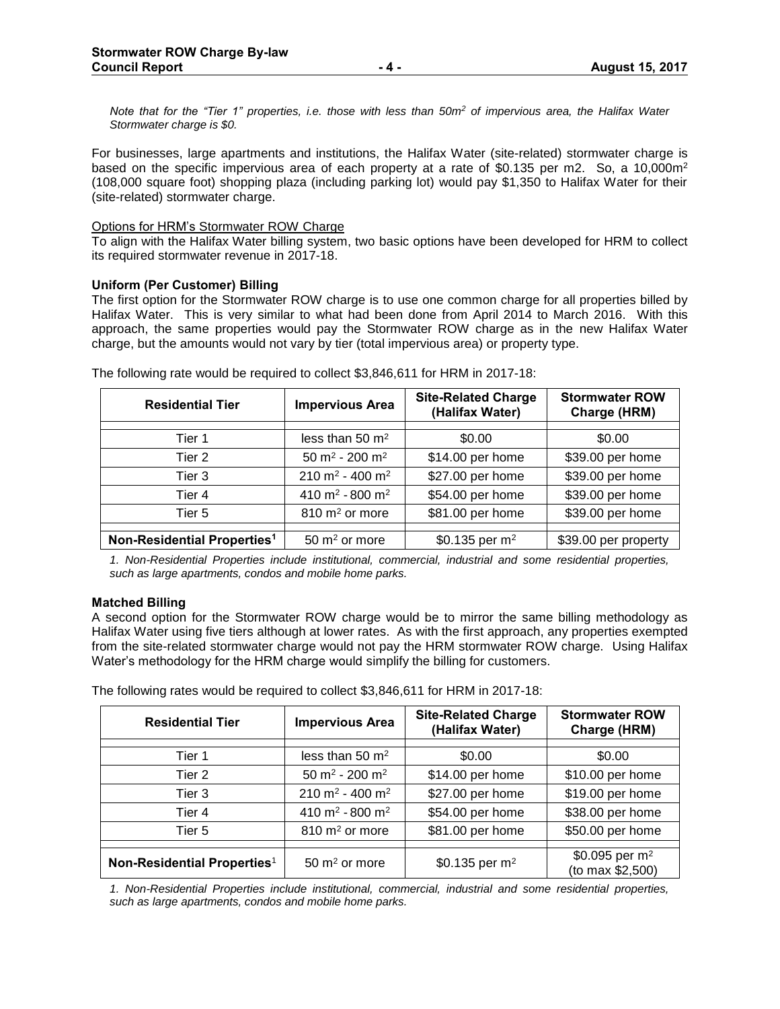*Note that for the "Tier 1" properties, i.e. those with less than 50m<sup>2</sup> of impervious area, the Halifax Water Stormwater charge is \$0.*

For businesses, large apartments and institutions, the Halifax Water (site-related) stormwater charge is based on the specific impervious area of each property at a rate of \$0.135 per m2. So, a 10,000m<sup>2</sup> (108,000 square foot) shopping plaza (including parking lot) would pay \$1,350 to Halifax Water for their (site-related) stormwater charge.

#### Options for HRM's Stormwater ROW Charge

To align with the Halifax Water billing system, two basic options have been developed for HRM to collect its required stormwater revenue in 2017-18.

#### **Uniform (Per Customer) Billing**

The first option for the Stormwater ROW charge is to use one common charge for all properties billed by Halifax Water. This is very similar to what had been done from April 2014 to March 2016. With this approach, the same properties would pay the Stormwater ROW charge as in the new Halifax Water charge, but the amounts would not vary by tier (total impervious area) or property type.

| <b>Residential Tier</b>                 | <b>Impervious Area</b>                  | <b>Site-Related Charge</b><br>(Halifax Water) | <b>Stormwater ROW</b><br>Charge (HRM) |
|-----------------------------------------|-----------------------------------------|-----------------------------------------------|---------------------------------------|
| Tier 1                                  | less than 50 m <sup>2</sup>             | \$0.00                                        | \$0.00                                |
| Tier 2                                  | 50 m <sup>2</sup> - 200 m <sup>2</sup>  | \$14.00 per home                              | \$39.00 per home                      |
| Tier 3                                  | 210 m <sup>2</sup> - 400 m <sup>2</sup> | \$27.00 per home                              | \$39.00 per home                      |
| Tier 4                                  | 410 m <sup>2</sup> - 800 m <sup>2</sup> | \$54.00 per home                              | \$39.00 per home                      |
| Tier 5                                  | $810 \text{ m}^2$ or more               | \$81.00 per home                              | \$39.00 per home                      |
|                                         |                                         |                                               |                                       |
| Non-Residential Properties <sup>1</sup> | $50 \text{ m}^2$ or more                | \$0.135 per $m^2$                             | \$39.00 per property                  |

The following rate would be required to collect \$3,846,611 for HRM in 2017-18:

*1. Non-Residential Properties include institutional, commercial, industrial and some residential properties, such as large apartments, condos and mobile home parks.*

#### **Matched Billing**

A second option for the Stormwater ROW charge would be to mirror the same billing methodology as Halifax Water using five tiers although at lower rates. As with the first approach, any properties exempted from the site-related stormwater charge would not pay the HRM stormwater ROW charge. Using Halifax Water's methodology for the HRM charge would simplify the billing for customers.

The following rates would be required to collect \$3,846,611 for HRM in 2017-18:

| <b>Residential Tier</b>                 | <b>Impervious Area</b>                  | <b>Site-Related Charge</b><br>(Halifax Water) | <b>Stormwater ROW</b><br>Charge (HRM) |
|-----------------------------------------|-----------------------------------------|-----------------------------------------------|---------------------------------------|
| Tier 1                                  | less than $50 \text{ m}^2$              | \$0.00                                        | \$0.00                                |
| Tier 2                                  | 50 m <sup>2</sup> - 200 m <sup>2</sup>  | \$14.00 per home                              | \$10.00 per home                      |
| Tier 3                                  | 210 m <sup>2</sup> - 400 m <sup>2</sup> | \$27.00 per home                              | \$19.00 per home                      |
| Tier 4                                  | 410 m <sup>2</sup> - 800 m <sup>2</sup> | \$54.00 per home                              | \$38.00 per home                      |
| Tier 5                                  | $810 \text{ m}^2$ or more               | \$81.00 per home                              | \$50.00 per home                      |
|                                         |                                         |                                               | \$0.095 per $m^2$                     |
| Non-Residential Properties <sup>1</sup> | $50 \text{ m}^2$ or more                | \$0.135 per $m^2$                             | (to max \$2,500)                      |

*1. Non-Residential Properties include institutional, commercial, industrial and some residential properties, such as large apartments, condos and mobile home parks.*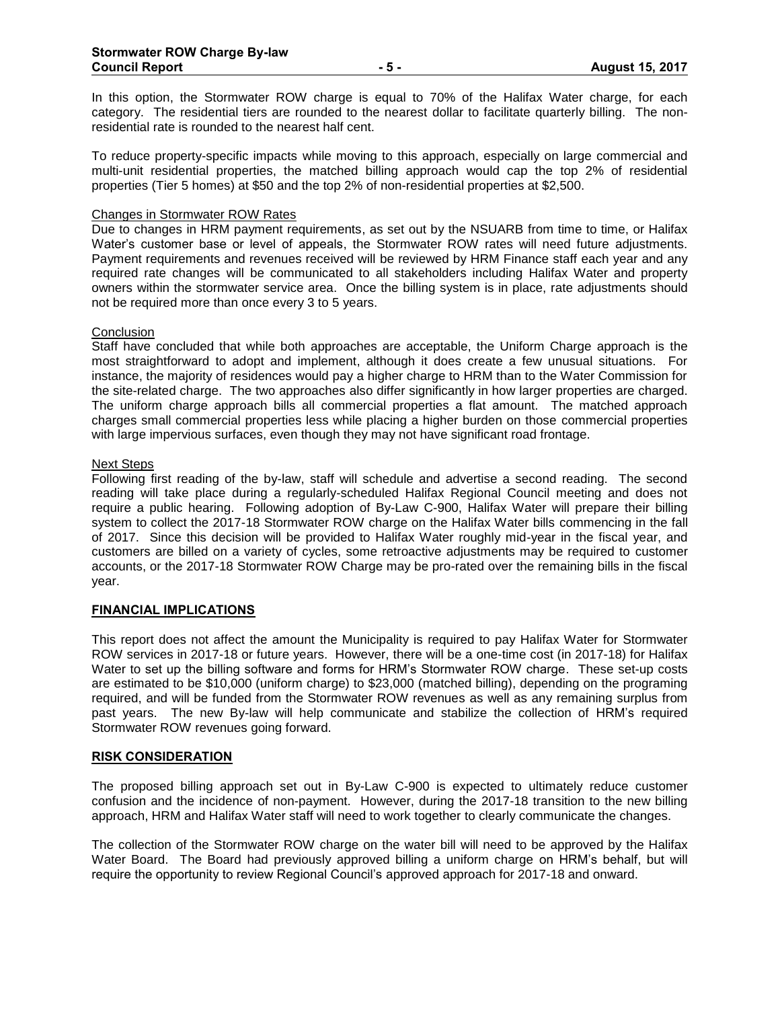In this option, the Stormwater ROW charge is equal to 70% of the Halifax Water charge, for each category. The residential tiers are rounded to the nearest dollar to facilitate quarterly billing. The nonresidential rate is rounded to the nearest half cent.

To reduce property-specific impacts while moving to this approach, especially on large commercial and multi-unit residential properties, the matched billing approach would cap the top 2% of residential properties (Tier 5 homes) at \$50 and the top 2% of non-residential properties at \$2,500.

#### Changes in Stormwater ROW Rates

Due to changes in HRM payment requirements, as set out by the NSUARB from time to time, or Halifax Water's customer base or level of appeals, the Stormwater ROW rates will need future adjustments. Payment requirements and revenues received will be reviewed by HRM Finance staff each year and any required rate changes will be communicated to all stakeholders including Halifax Water and property owners within the stormwater service area. Once the billing system is in place, rate adjustments should not be required more than once every 3 to 5 years.

#### **Conclusion**

Staff have concluded that while both approaches are acceptable, the Uniform Charge approach is the most straightforward to adopt and implement, although it does create a few unusual situations. For instance, the majority of residences would pay a higher charge to HRM than to the Water Commission for the site-related charge. The two approaches also differ significantly in how larger properties are charged. The uniform charge approach bills all commercial properties a flat amount. The matched approach charges small commercial properties less while placing a higher burden on those commercial properties with large impervious surfaces, even though they may not have significant road frontage.

#### Next Steps

Following first reading of the by-law, staff will schedule and advertise a second reading. The second reading will take place during a regularly-scheduled Halifax Regional Council meeting and does not require a public hearing. Following adoption of By-Law C-900, Halifax Water will prepare their billing system to collect the 2017-18 Stormwater ROW charge on the Halifax Water bills commencing in the fall of 2017. Since this decision will be provided to Halifax Water roughly mid-year in the fiscal year, and customers are billed on a variety of cycles, some retroactive adjustments may be required to customer accounts, or the 2017-18 Stormwater ROW Charge may be pro-rated over the remaining bills in the fiscal year.

#### **FINANCIAL IMPLICATIONS**

This report does not affect the amount the Municipality is required to pay Halifax Water for Stormwater ROW services in 2017-18 or future years. However, there will be a one-time cost (in 2017-18) for Halifax Water to set up the billing software and forms for HRM's Stormwater ROW charge. These set-up costs are estimated to be \$10,000 (uniform charge) to \$23,000 (matched billing), depending on the programing required, and will be funded from the Stormwater ROW revenues as well as any remaining surplus from past years. The new By-law will help communicate and stabilize the collection of HRM's required Stormwater ROW revenues going forward.

#### **RISK CONSIDERATION**

The proposed billing approach set out in By-Law C-900 is expected to ultimately reduce customer confusion and the incidence of non-payment. However, during the 2017-18 transition to the new billing approach, HRM and Halifax Water staff will need to work together to clearly communicate the changes.

The collection of the Stormwater ROW charge on the water bill will need to be approved by the Halifax Water Board. The Board had previously approved billing a uniform charge on HRM's behalf, but will require the opportunity to review Regional Council's approved approach for 2017-18 and onward.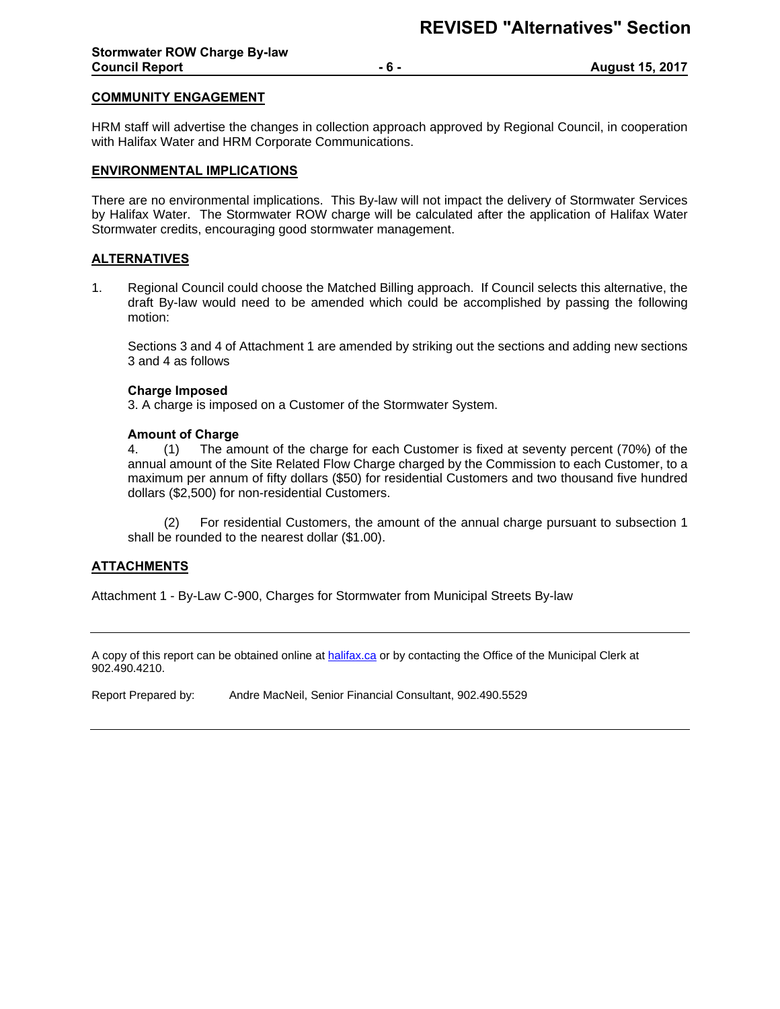#### **COMMUNITY ENGAGEMENT**

HRM staff will advertise the changes in collection approach approved by Regional Council, in cooperation with Halifax Water and HRM Corporate Communications.

#### **ENVIRONMENTAL IMPLICATIONS**

There are no environmental implications. This By-law will not impact the delivery of Stormwater Services by Halifax Water. The Stormwater ROW charge will be calculated after the application of Halifax Water Stormwater credits, encouraging good stormwater management.

#### **ALTERNATIVES**

1. Regional Council could choose the Matched Billing approach. If Council selects this alternative, the draft By-law would need to be amended which could be accomplished by passing the following motion:

Sections 3 and 4 of Attachment 1 are amended by striking out the sections and adding new sections 3 and 4 as follows

#### **Charge Imposed**

3. A charge is imposed on a Customer of the Stormwater System.

#### **Amount of Charge**

4. (1) The amount of the charge for each Customer is fixed at seventy percent (70%) of the annual amount of the Site Related Flow Charge charged by the Commission to each Customer, to a maximum per annum of fifty dollars (\$50) for residential Customers and two thousand five hundred dollars (\$2,500) for non-residential Customers.

(2) For residential Customers, the amount of the annual charge pursuant to subsection 1 shall be rounded to the nearest dollar (\$1.00).

#### **ATTACHMENTS**

Attachment 1 - By-Law C-900, Charges f[or Stormwa](https://www.halifax.ca/)ter from Municipal Streets By-law

A copy of this report can be obtained online at halifax.ca or by contacting the Office of the Municipal Clerk at 902.490.4210.

Report Prepared by: Andre MacNeil, Senior Financial Consultant, 902.490.5529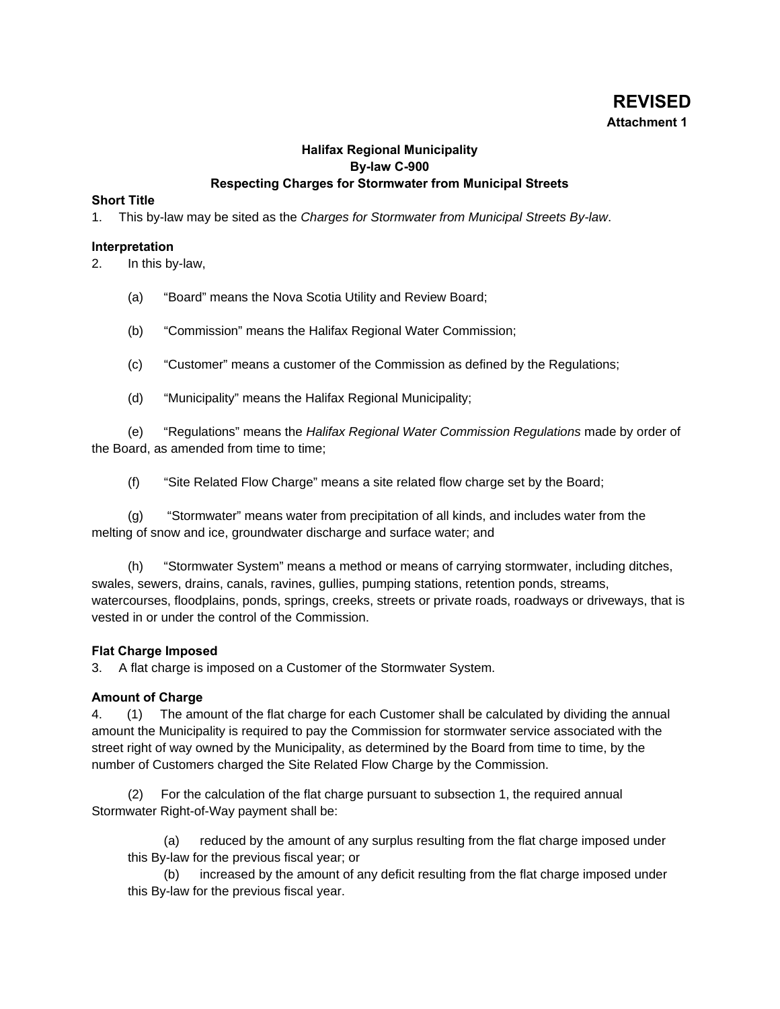# **REVISED Attachment 1**

# **Halifax Regional Municipality By-law C-900 Respecting Charges for Stormwater from Municipal Streets**

## **Short Title**

1. This by-law may be sited as the *Charges for Stormwater from Municipal Streets By-law*.

#### **Interpretation**

2. In this by-law,

- (a) "Board" means the Nova Scotia Utility and Review Board;
- (b) "Commission" means the Halifax Regional Water Commission;
- (c) "Customer" means a customer of the Commission as defined by the Regulations;
- (d) "Municipality" means the Halifax Regional Municipality;

(e) "Regulations" means the *Halifax Regional Water Commission Regulations* made by order of the Board, as amended from time to time;

(f) "Site Related Flow Charge" means a site related flow charge set by the Board;

(g) "Stormwater" means water from precipitation of all kinds, and includes water from the melting of snow and ice, groundwater discharge and surface water; and

(h) "Stormwater System" means a method or means of carrying stormwater, including ditches, swales, sewers, drains, canals, ravines, gullies, pumping stations, retention ponds, streams, watercourses, floodplains, ponds, springs, creeks, streets or private roads, roadways or driveways, that is vested in or under the control of the Commission.

## **Flat Charge Imposed**

3. A flat charge is imposed on a Customer of the Stormwater System.

## **Amount of Charge**

4. (1) The amount of the flat charge for each Customer shall be calculated by dividing the annual amount the Municipality is required to pay the Commission for stormwater service associated with the street right of way owned by the Municipality, as determined by the Board from time to time, by the number of Customers charged the Site Related Flow Charge by the Commission.

(2) For the calculation of the flat charge pursuant to subsection 1, the required annual Stormwater Right-of-Way payment shall be:

(a) reduced by the amount of any surplus resulting from the flat charge imposed under this By-law for the previous fiscal year; or

(b) increased by the amount of any deficit resulting from the flat charge imposed under this By-law for the previous fiscal year.